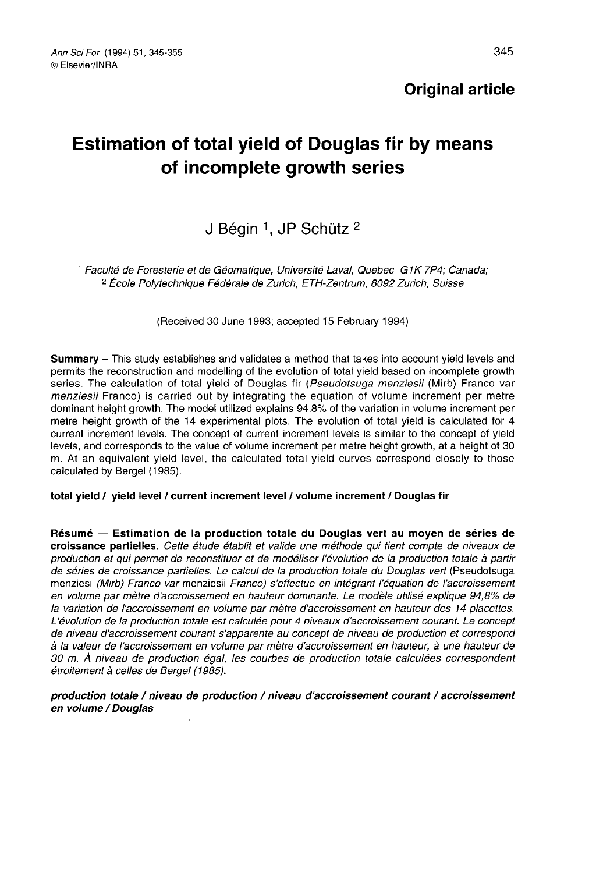# Estimation of total yield of Douglas fir by means of incomplete growth series

# J Bégin <sup>1</sup>, JP Schütz <sup>2</sup>

<sup>1</sup> Faculté de Foresterie et de Géomatique, Université Laval, Quebec G1K 7P4; Canada; <sup>2</sup> École Polytechnique Fédérale de Zurich, ETH-Zentrum, 8092 Zurich, Suisse

(Received 30 June 1993; accepted 15 February 1994)

Summary - This study establishes and validates a method that takes into account vield levels and permits the reconstruction and modelling of the evolution of total yield based on incomplete growth series. The calculation of total yield of Douglas fir (Pseudotsuga menziesii (Mirb) Franco var menziesii Franco) is carried out by integrating the equation of volume increment per metre dominant height growth. The model utilized explains 94.8% of the variation in volume increment per metre height growth of the 14 experimental plots. The evolution of total yield is calculated for 4 current increment levels. The concept of current increment levels is similar to the concept of yield levels, and corresponds to the value of volume increment per metre height growth, at a height of 30 m. At an equivalent yield level, the calculated total yield curves correspond closely to those calculated by Bergel (1985).

total yield / yield level / current increment level / volume increment / Douglas fir

Résumé — Estimation de la production totale du Douglas vert au moyen de séries de croissance partielles. Cette étude établit et valide une méthode qui tient compte de niveaux de production et qui permet de reconstituer et de modéliser l'évolution de la production totale à partir de séries de croissance partielles. Le calcul de la production totale du Douglas vert (Pseudotsuga menziesi (Mirb) Franco var menziesii Franco) s'effectue en intégrant l'équation de l'accroissement en volume par mètre d'accroissement en hauteur dominante. Le modèle utilisé explique 94,8% de la variation de l'accroissement en volume par mètre d'accroissement en hauteur des 14 placettes. L'évolution de la production totale est calculée pour 4 niveaux d'accroissement courant. Le concept de niveau d'accroissement courant s'apparente au concept de niveau de production et correspond à la valeur de l'accroissement en volume par mètre d'accroissement en hauteur, à une hauteur de 30 m. À niveau de production égal, les courbes de production totale calculées correspondent étroitement à celles de Bergel (1985).

production totale / niveau de production / niveau d'accroissement courant / accroissement en volume / Douglas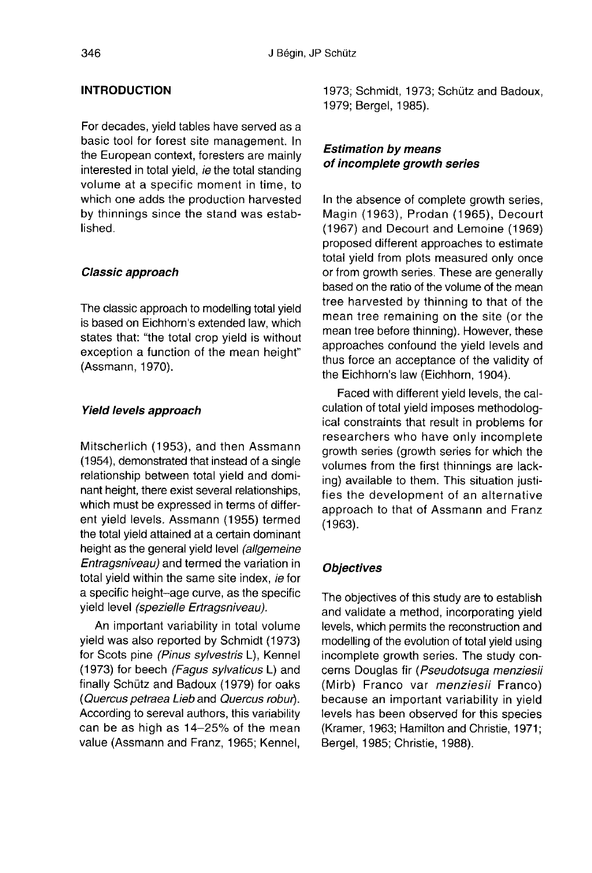## INTRODUCTION

For decades, yield tables have served as a basic tool for forest site management. In the European context, foresters are mainly interested in total yield, ie the total standing volume at a specific moment in time, to which one adds the production harvested by thinnings since the stand was established.

#### Classic approach

The classic approach to modelling total yield is based on Eichhorn's extended law, which states that: "the total crop yield is without exception a function of the mean height" (Assmann, 1970).

#### Yield levels approach

Mitscherlich (1953), and then Assmann (1954), demonstrated that instead of a single relationship between total yield and dominant height, there exist several relationships, which must be expressed in terms of different yield levels. Assmann (1955) termed the total yield attained at a certain dominant height as the general yield level (allgemeine Entragsniveau) and termed the variation in total yield within the same site index, ie for a specific height-age curve, as the specific yield level (spezielle Ertragsniveau).

An important variability in total volume yield was also reported by Schmidt (1973) for Scots pine (Pinus sylvestris L), Kennel (1973) for beech (Fagus sylvaticus L) and finally Schütz and Badoux (1979) for oaks (Quercus petraea Lieb and Quercus robur). According to sereval authors, this variability can be as high as 14-25% of the mean value (Assmann and Franz, 1965; Kennel,

1973; Schmidt, 1973; Schütz and Badoux, 1979; Bergel, 1985).

# Estimation by means of incomplete growth series

In the absence of complete growth series, Magin (1963), Prodan (1965), Decourt (1967) and Decourt and Lemoine (1969) proposed different approaches to estimate total yield from plots measured only once or from growth series. These are generally based on the ratio of the volume of the mean tree harvested by thinning to that of the mean tree remaining on the site (or the mean tree before thinning). However, these approaches confound the yield levels and thus force an acceptance of the validity of the Eichhorn's law (Eichhorn, 1904).

Faced with different yield levels, the calculation of total yield imposes methodological constraints that result in problems for researchers who have only incomplete growth series (growth series for which the volumes from the first thinnings are lacking) available to them. This situation justifies the development of an alternative approach to that of Assmann and Franz (1963).

#### **Objectives**

The objectives of this study are to establish and validate a method, incorporating yield levels, which permits the reconstruction and modelling of the evolution of total yield using incomplete growth series. The study concerns Douglas fir (Pseudotsuga menziesii (Mirb) Franco var *menziesii* Franco) because an important variability in yield levels has been observed for this species (Kramer, 1963; Hamilton and Christie, 1971; Bergel, 1985; Christie, 1988).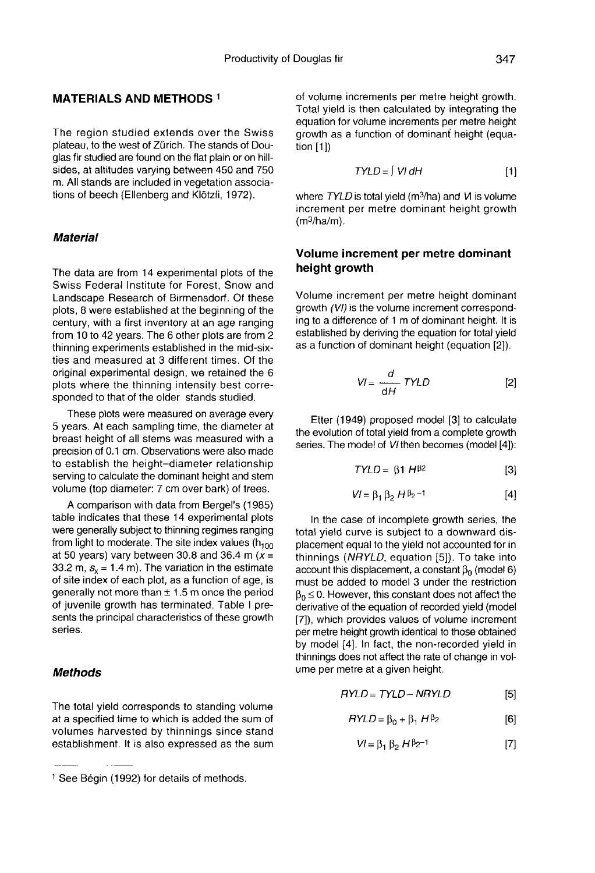# MATERIALS AND METHODS 1

The region studied extends over the Swiss plateau, to the west of Zürich. The stands of Douglas fir studied are found on the flat plain or on hillsides, at altitudes varying between 450 and 750 m. All stands are included in vegetation associations of beech (Ellenberg and Klötzli, 1972).

#### **Material**

The data are from 14 experimental plots of the Swiss Federal Institute for Forest, Snow and Landscape Research of Birmensdorf. Of these plots, 8 were established at the beginning of the century, with a first inventory at an age ranging from 10 to 42 years. The 6 other plots are from 2 thinning experiments established in the mid-sixties and measured at 3 different times. Of the original experimental design, we retained the 6 plots where the thinning intensity best corresponded to that of the older stands studied.

These plots were measured on average every 5 years. At each sampling time, the diameter at breast height of all stems was measured with a precision of 0.1 cm. Observations were also made to establish the height-diameter relationship serving to calculate the dominant height and stem volume (top diameter: 7 cm over bark) of trees.

A comparison with data from Bergel's (1985) table indicates that these 14 experimental plots were generally subject to thinning regimes ranging from light to moderate. The site index values (h<sub>100</sub> at 50 years) vary between 30.8 and 36.4 m ( $\bar{x}$  = 33.2 m,  $s_r = 1.4$  m). The variation in the estimate of site index of each plot, as a function of age, is generally not more than  $\pm$  1.5 m once the period of juvenile growth has terminated. Table I presents the principal characteristics of these growth series.

## Methods

The total yield corresponds to standing volume at a specified time to which is added the sum of volumes harvested by thinnings since stand establishment. It is also expressed as the sum of volume increments per metre height growth. Total yield is then calculated by integrating the equation for volume increments per metre height growth as a function of dominant height (equation [1])

$$
TYLD = \int VI \, dH \tag{1}
$$

 $TVLD = \int VI dH$  [1]<br>where  $TVLD$  is total yield (m<sup>3</sup>/ha) and VI is volume<br>increment per metre dominant height growth<br>(m<sup>3</sup>/ha/m). increment per metre dominant height growth<br>(m<sup>3</sup>/ha/m).

#### Volume increment per metre dominant height growth

Volume increment per metre height dominant growth (VI) is the volume increment corresponding to a difference of 1 m of dominant height. It is established by deriving the equation for total yield as a function of dominant height (equation [2]).

$$
VI = \frac{d}{dH} \text{TYLD} \tag{2}
$$

Etter (1949) proposed model [3] to calculate the evolution of total yield from a complete growth series. The model of VI then becomes (model [4]):

$$
TYLD = \beta 1 H^{\beta 2} \qquad [3]
$$

$$
VI = \beta_1 \beta_2 H \beta_2^{-1}
$$
 [4]

In the case of incomplete growth series, the total yield curve is subject to a downward displacement equal to the yield not accounted for in thinnings (NRYLD, equation [5]). To take into account this displacement, a constant  $β_0$  (model 6) must be added to model 3 under the restriction  $\beta_0 \leq 0$ . However, this constant does not affect the derivative of the equation of recorded yield (model [7]), which provides values of volume increment per metre height growth identical to those obtained by model [4]. In fact, the non-recorded yield in thinnings does not affect the rate of change in volume per metre at a given height.

$$
RYLD = TYLD - NRYLD
$$
 [5]

$$
RYLD = \beta_0 + \beta_1 H^{\beta_2}
$$
 [6]

$$
VI = \beta_1 \beta_2 H \beta_2^{-1}
$$
 [7]

<sup>1</sup> See Bégin (1992) for details of methods.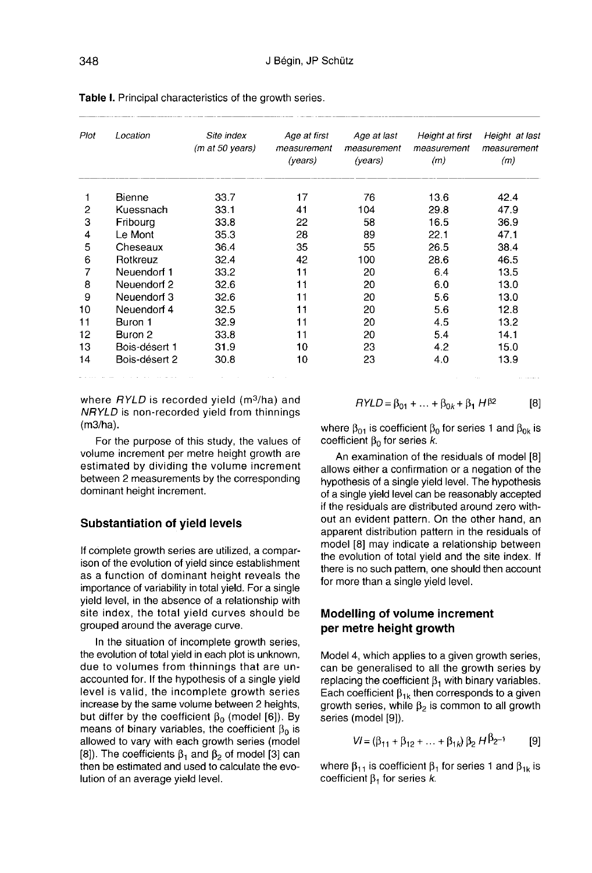| Plot | Location      | Site index<br>(m at 50 years) | Age at first<br>measurement<br>(years) | Age at last<br>measurement<br>(years) | Height at first<br>measurement<br>(m) | Height at last<br>measurement<br>(m) |
|------|---------------|-------------------------------|----------------------------------------|---------------------------------------|---------------------------------------|--------------------------------------|
|      | Bienne        | 33.7                          | 17                                     | 76                                    | 13.6                                  | 42.4                                 |
| 2    | Kuessnach     | 33.1                          | 41                                     | 104                                   | 29.8                                  | 47.9                                 |
| 3    | Fribourg      | 33.8                          | 22                                     | 58                                    | 16.5                                  | 36.9                                 |
| 4    | Le Mont       | 35.3                          | 28                                     | 89                                    | 22.1                                  | 47.1                                 |
| 5    | Cheseaux      | 36.4                          | 35                                     | 55                                    | 26.5                                  | 38.4                                 |
| 6    | Rotkreuz      | 32.4                          | 42                                     | 100                                   | 28.6                                  | 46.5                                 |
| 7    | Neuendorf 1   | 33.2                          | 11                                     | 20                                    | 6.4                                   | 13.5                                 |
| 8    | Neuendorf 2   | 32.6                          | 11                                     | 20                                    | 6.0                                   | 13.0                                 |
| 9    | Neuendorf 3   | 32.6                          | 11                                     | 20                                    | 5.6                                   | 13.0                                 |
| 10   | Neuendorf 4   | 32.5                          | 11                                     | 20                                    | 5.6                                   | 12.8                                 |
| 11   | Buron 1       | 32.9                          | 11                                     | 20                                    | 4.5                                   | 13.2                                 |
| 12   | Buron 2       | 33.8                          | 11                                     | 20                                    | 5.4                                   | 14.1                                 |
| 13   | Bois-désert 1 | 31.9                          | 10                                     | 23                                    | 4.2                                   | 15.0                                 |
| 14   | Bois-désert 2 | 30.8                          | 10                                     | 23                                    | 4.0                                   | 13.9                                 |

Table I. Principal characteristics of the growth series.

where  $RYLD$  is recorded yield (m<sup>3</sup>/ha) and NRYLD is non-recorded yield from thinnings (m3/ha).

For the purpose of this study, the values of volume increment per metre height growth are estimated by dividing the volume increment between 2 measurements by the corresponding dominant height increment.

#### Substantiation of yield levels

If complete growth series are utilized, a comparison of the evolution of yield since establishment as a function of dominant height reveals the importance of variability in total yield. For a single yield level, in the absence of a relationship with site index, the total yield curves should be grouped around the average curve.

In the situation of incomplete growth series, the evolution of total yield in each plot is unknown, due to volumes from thinnings that are unaccounted for. If the hypothesis of a single yield level is valid, the incomplete growth series increase by the same volume between 2 heights, but differ by the coefficient  $β_0$  (model [6]). By means of binary variables, the coefficient  $β_0$  is allowed to vary with each growth series (model means of binary variables, the coefficient  $β<sub>0</sub>$  is<br>allowed to vary with each growth series (model<br>[8]). The coefficients  $β<sub>1</sub>$  and  $β<sub>2</sub>$  of model [3] can<br>then be estimated and used to calculate the evothen be estimated and used to calculate the evolution of an average yield level.

 $RYLD = \beta_{01} + ... + \beta_{0k} + \beta_1 H^{\beta 2}$  $[8]$ 

where  $β_{01}$  is coefficient  $β_0$  for series 1 and  $β_{0k}$  is coefficient  $\beta_0$  for series k.

An examination of the residuals of model [8] allows either a confirmation or a negation of the hypothesis of a single yield level. The hypothesis of a single yield level can be reasonably accepted if the residuals are distributed around zero without an evident pattern. On the other hand, an apparent distribution pattern in the residuals of model [8] may indicate a relationship between the evolution of total yield and the site index. If there is no such pattern, one should then account for more than a single yield level.

#### Modelling of volume increment per metre height growth

Model 4, which applies to a given growth series, can be generalised to all the growth series by replacing the coefficient  $\beta_1$  with binary variables. **Modelling of volume increment**<br>
per metre height growth<br>
Model 4, which applies to a given growth series,<br>
can be generalised to all the growth series by<br>
replacing the coefficient β<sub>1k</sub> then corresponds to a given<br>
gro growth series, while  $β<sub>2</sub>$  is common to all growth series (model [9]).

$$
VI = (\beta_{11} + \beta_{12} + \dots + \beta_{1k}) \beta_2 H^{\beta_2 - 1}
$$
 [9]

where  $\beta_{11}$  is coefficient  $\beta_1$  for series 1 and  $\beta_{1k}$  is coefficient  $\beta_1$  for series k.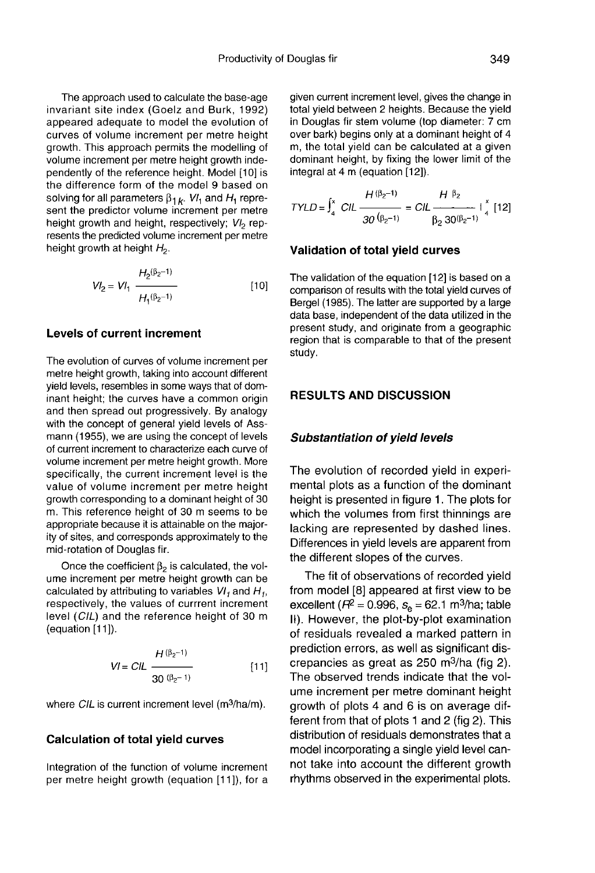The approach used to calculate the base-age invariant site index (Goelz and Burk, 1992) appeared adequate to model the evolution of curves of volume increment per metre height growth. This approach permits the modelling of volume increment per metre height growth independently of the reference height. Model [10] is the difference form of the model 9 based on solving for all parameters  $\beta_{1,k}$ . VI<sub>1</sub> and H<sub>1</sub> represent the predictor volume increment per metre height growth and height, respectively;  $VI_2$  represents the predicted volume increment per metre height growth at height  $H_2$ .

$$
VI_2 = VI_1 \frac{H_2(\beta_2 - 1)}{H_1(\beta_2 - 1)}
$$
 [10]

#### Levels of current increment

The evolution of curves of volume increment per metre height growth, taking into account different yield levels, resembles in some ways that of dominant height; the curves have a common origin and then spread out progressively. By analogy with the concept of general yield levels of Assmann (1955), we are using the concept of levels of current increment to characterize each curve of volume increment per metre height growth. More specifically, the current increment level is the value of volume increment per metre height growth corresponding to a dominant height of 30 m. This reference height of 30 m seems to be appropriate because it is attainable on the majority of sites, and corresponds approximately to the mid-rotation of Douglas fir.

Once the coefficient  $\beta_2$  is calculated, the volume increment per metre height growth can be calculated by attributing to variables  $VI_1$  and  $H_2$ . respectively, the values of currrent increment level (CIL) and the reference height of 30 m (equation [11]).

$$
VI = CIL \frac{H(\beta_2 - 1)}{30 (\beta_2 - 1)}
$$
 [11]

where CIL is current increment level (m<sup>3</sup>/ha/m).

#### Calculation of total yield curves

Integration of the function of volume increment per metre height growth (equation [11]), for a given current increment level, gives the change in total yield between 2 heights. Because the yield in Douglas fir stem volume (top diameter: 7 cm over bark) begins only at a dominant height of 4 m, the total yield can be calculated at a given dominant height, by fixing the lower limit of the integral at 4 m (equation [12]).

$$
TYLD = \int_{4}^{x} \frac{H(\beta_2 - 1)}{30(\beta_2 - 1)} = \frac{H}{\beta_2} \frac{\beta_2}{30(\beta_2 - 1)} + \int_{4}^{x} [12]
$$

#### Validation of total yield curves

The validation of the equation [12] is based on a comparison of results with the total yield curves of Bergel (1985). The latter are supported by a large data base, independent of the data utilized in the present study, and originate from a geographic region that is comparable to that of the present study.

#### RESULTS AND DISCUSSION

#### Substantiation of yield levels

The evolution of recorded yield in experimental plots as a function of the dominant height is presented in figure 1. The plots for which the volumes from first thinnings are lacking are represented by dashed lines. Differences in yield levels are apparent from the different slopes of the curves.

The fit of observations of recorded yield from model [8] appeared at first view to be excellent ( $R^2$  = 0.996,  $s_e$  = 62.1 m<sup>3</sup>/ha; table II). However, the plot-by-plot examination of residuals revealed a marked pattern in prediction errors, as well as significant disof residuals revealed a marked pattern in<br>prediction errors, as well as significant dis-<br>crepancies as great as 250 m<sup>3</sup>/ha (fig 2).<br>The observed transe indicate that the value The observed trends indicate that the volume increment per metre dominant height growth of plots 4 and 6 is on average different from that of plots 1 and 2 (fig 2). This distribution of residuals demonstrates that a model incorporating a single yield level cannot take into account the different growth rhythms observed in the experimental plots.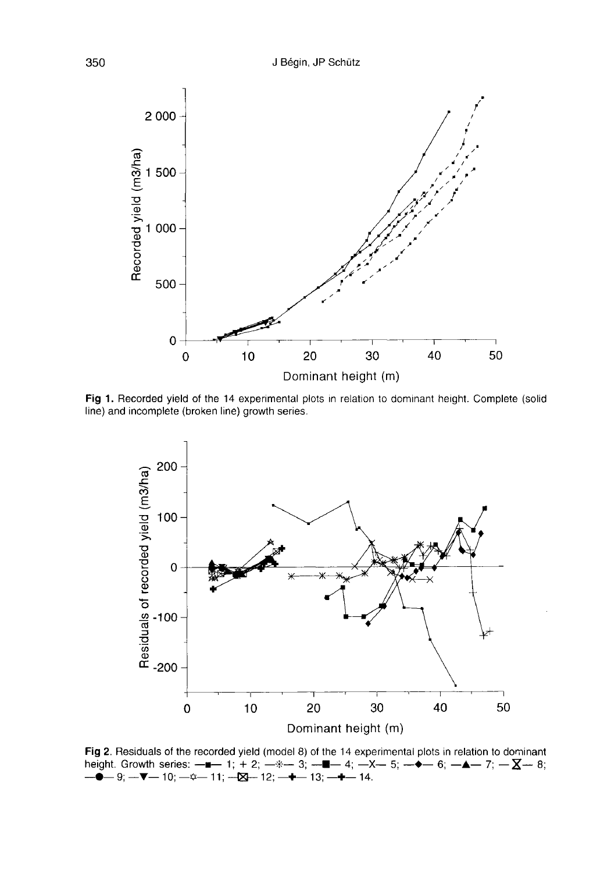

Fig 1. Recorded yield of the 14 experimental plots in relation to dominant height. Complete (solid line) and incomplete (broken line) growth series.



Fig 2. Residuals of the recorded yield (model 8) of the 14 experimental plots in relation to dominant height. Growth series:  $-\blacksquare - 1$ ;  $+ 2$ ;  $- \ell - 3$ ;  $- \blacksquare - 4$ ;  $- \lambda - 5$ ;  $- \blacklozenge - 6$ ;  $- \blacktriangle - 7$ ;  $- \sum - 8$ ;<br> $- \blacklozenge - 9$ ;  $- \blacktriangledown - 10$ ;  $- \varnothing - 11$ ;  $- \boxtimes - 12$ ;  $- \blacktriangledown - 13$ ;  $- \blacktriangledown - 14$ .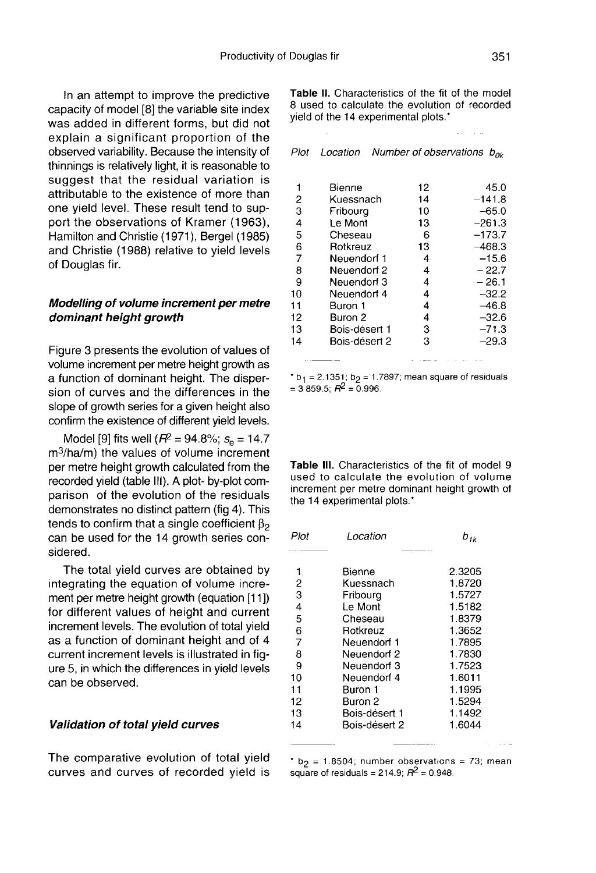In an attempt to improve the predictive capacity of model [8] the variable site index was added in different forms, but did not explain a significant proportion of the observed variability. Because the intensity of thinnings is relatively light, it is reasonable to suggest that the residual variation is attributable to the existence of more than one yield level. These result tend to support the observations of Kramer (1963), Hamilton and Christie (1971), Bergel (1985) and Christie (1988) relative to yield levels of Douglas fir.

#### Modelling of volume increment per metre dominant height growth

Figure 3 presents the evolution of values of volume increment per metre height growth as a function of dominant height. The dispersion of curves and the differences in the confirm the existence of different yield levels.

slope of growth series for a given height also<br>confirm the existence of different yield levels.<br>Model [9] fits well ( $R^2 = 94.8\%$ ;  $s_e = 14.7$ <br>m<sup>3</sup>/ha/m) the values of volume increment<br>per metre height growth calculated f Model [9] fits well ( $R^2$  = 94.8%;  $s_e$  = 14.7 m<sup>3</sup>/ha/m) the values of volume increment per metre height growth calculated from the recorded yield (table III). A plot- by-plot comparison of the evolution of the residuals demonstrates no distinct pattern (fig 4). This tends to confirm that a single coefficient  $\beta_2$ can be used for the 14 growth series considered.

The total yield curves are obtained by integrating the equation of volume increment per metre height growth (equation [11 ]) for different values of height and current increment levels. The evolution of total yield as a function of dominant height and of 4 current increment levels is illustrated in fig ure 5, in which the differences in yield levels can be observed.

#### Validation of total yield curves

The comparative evolution of total yield curves and curves of recorded yield is

Table II. Characteristics of the fit of the model 8 used to calculate the evolution of recorded vield of the 14 experimental plots.\*

| Plot   | Location              |          | Number of observations $b_{0k}$ |
|--------|-----------------------|----------|---------------------------------|
| 1      | Bienne                | 12       | 45.0                            |
| 2<br>3 | Kuessnach<br>Fribourg | 14<br>10 | $-141.8$<br>$-65.0$             |
| 4      | Le Mont               | 13       | $-261.3$                        |
| 5      | Cheseau               | 6        | -173.7                          |
| 6      | Rotkreuz              | 13       | -468.3                          |
| 7      | Neuendorf 1           | 4        | $-15.6$                         |
| 8      | Neuendorf 2           | 4        | $-22.7$                         |
| 9      | Neuendorf 3           | 4        | $-26.1$                         |
| 10     | Neuendorf 4           | 4        | $-32.2$                         |
| 11     | Buron 1               | 4        | $-46.8$                         |
| 12     | Buron 2               | 4        | $-32.6$                         |
| 13     | Bois-désert 1         | 3        | $-71.3$                         |
| 14     | Bois-désert 2         | 3        | –29.3                           |
|        |                       |          |                                 |

 $b_1$  = 2.1351; b<sub>2</sub> = 1.7897; mean square of residuals  $=$  3 859.5;  $R^2 = 0.996$ .

and all and some state of the

Table III. Characteristics of the fit of model 9 used to calculate the evolution of volume increment per metre dominant height growth of the 14 experimental plots.\*

| Plot           | Location      | $b_{ik}$ |  |
|----------------|---------------|----------|--|
| 1              | Bienne        | 2.3205   |  |
| 2              | Kuessnach     | 1.8720   |  |
| $\bar{3}$      | Fribourg      | 1.5727   |  |
| $\overline{4}$ | Le Mont       | 1.5182   |  |
| 5              | Cheseau       | 1.8379   |  |
| 6              | Rotkreuz      | 1.3652   |  |
| $\overline{7}$ | Neuendorf 1   | 1.7895   |  |
| 8              | Neuendorf 2   | 1.7830   |  |
| 9              | Neuendorf 3   | 1.7523   |  |
| 10             | Neuendorf 4   | 1.6011   |  |
| 11             | Buron 1       | 1.1995   |  |
| 12             | Buron 2       | 1.5294   |  |
| 13             | Bois-désert 1 | 1.1492   |  |
| 14             | Bois-désert 2 | 1.6044   |  |
|                |               |          |  |

\*  $b_2$  = 1.8504; number observations = 73; mean square of residuals = 214.9;  $R^2$  = 0.948.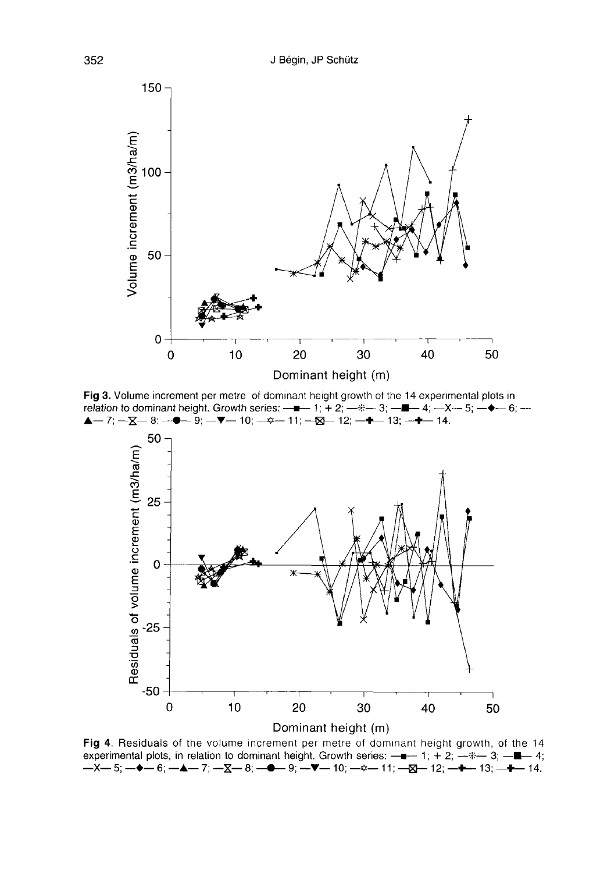

Fig 3. Volume increment per metre of dominant height growth of the 14 experimental plots in  $\blacktriangle$  - 7; -  $\Sigma$  - 8; -  $\blacktriangleright$  9; -  $\nabla$  - 10; -  $\triangle$  - 11; -  $\boxtimes$  - 12; -  $\blacktriangleright$  - 13; -  $\blacktriangleright$  - 14.



Fig 4. Residuals of the volume increment per metre of dominant height growth, of the 14 experimental plots, in relation to dominant height. Growth series:  $-\bullet - 1$ ; + 2;  $-\ast - 3$ ;  $-\bullet - 4$ ;  $-X-5$ ;  $\rightarrow -6$ ;  $-\blacktriangle -7$ ;  $-\blacktriangle -8$ ;  $\rightarrow -9$  = 9;  $\rightarrow -10$ ;  $\rightarrow -11$ ;  $-\boxtimes -12$ ;  $\rightarrow -13$ ;  $\rightarrow -14$ .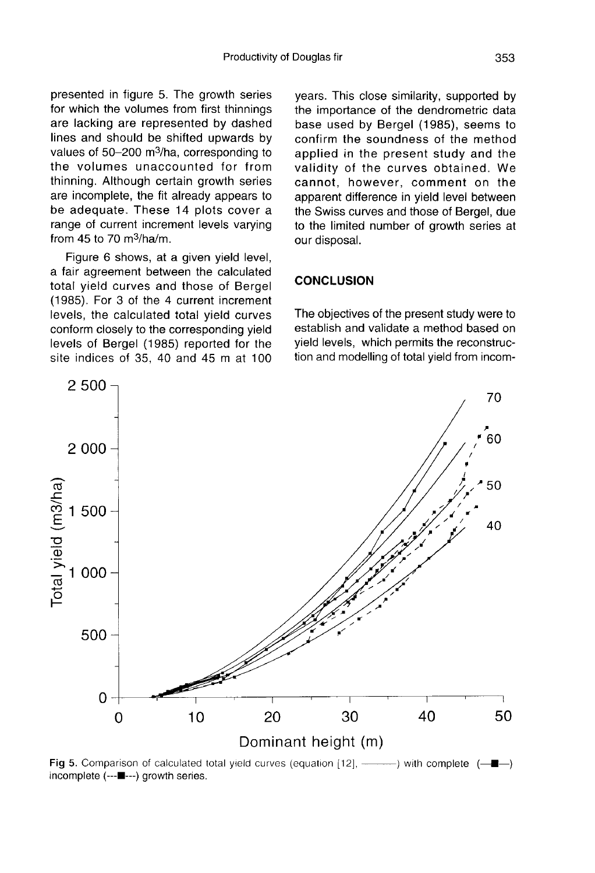presented in figure 5. The growth series for which the volumes from first thinnings are lacking are represented by dashed lines and should be shifted upwards by are lacking are represented by dashed<br>lines and should be shifted upwards by<br>values of 50-200 m<sup>3</sup>/ha, corresponding to<br>the volumes unaccounted for from the volumes unaccounted for from thinning. Although certain growth series are incomplete, the fit already appears to be adequate. These 14 plots cover a range of current increment levels varying Framing. Although below<br>are incomplete, the fit<br>be adequate. These<br>range of current increment of 70 m<sup>3</sup>/ha/m.<br>Figure 6 shows at

Figure 6 shows, at a given yield level, a fair agreement between the calculated total yield curves and those of Bergel (1985). For 3 of the 4 current increment levels, the calculated total yield curves conform closely to the corresponding yield levels of Bergel (1985) reported for the site indices of 35, 40 and 45 m at 100 years. This close similarity, supported by the importance of the dendrometric data base used by Bergel (1985), seems to confirm the soundness of the method applied in the present study and the validity of the curves obtained. We cannot, however, comment on the apparent difference in yield level between the Swiss curves and those of Bergel, due to the limited number of growth series at our disposal.

# **CONCLUSION**

The objectives of the present study were to establish and validate a method based on yield levels, which permits the reconstruction and modelling of total yield from incom-



Fig 5. Comparison of calculated total yield curves (equation [12], ———————————————————————————————— incomplete (---■---) growth series.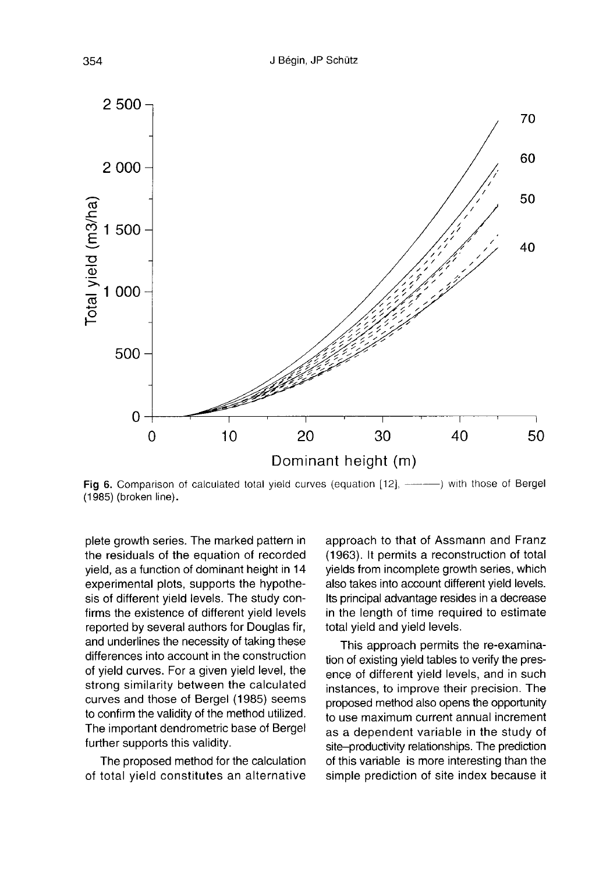

(1985) (broken line).

plete growth series. The marked pattern in the residuals of the equation of recorded yield, as a function of dominant height in 14 experimental plots, supports the hypothesis of different yield levels. The study confirms the existence of different yield levels reported by several authors for Douglas fir, and underlines the necessity of taking these differences into account in the construction of yield curves. For a given yield level, the strong similarity between the calculated curves and those of Bergel (1985) seems to confirm the validity of the method utilized. The important dendrometric base of Bergel further supports this validity.

The proposed method for the calculation of total yield constitutes an alternative

approach to that of Assmann and Franz (1963). It permits a reconstruction of total yields from incomplete growth series, which also takes into account different yield levels. Its principal advantage resides in a decrease in the length of time required to estimate total yield and yield levels.

This approach permits the re-examination of existing yield tables to verify the presence of different yield levels, and in such instances, to improve their precision. The proposed method also opens the opportunity to use maximum current annual increment as a dependent variable in the study of site-productivity relationships. The prediction of this variable is more interesting than the simple prediction of site index because it